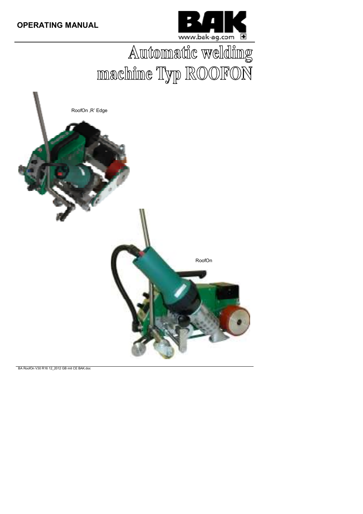

# Automatic welding machine Typ ROOFON

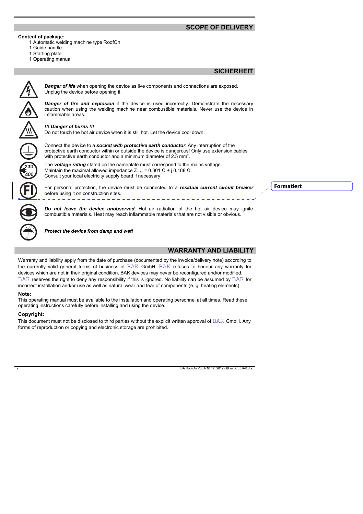#### **SCOPE OF DELIVERY**

#### **Content of package:**

- 1 Automatic welding machine type RoofOn
- 1 Guide handle
- 1 Starting plate
- 1 Operating manual

#### **SICHERHEIT**



*Danger of life* when opening the device as live components and connections are exposed. Unplug the device before opening it.

*Danger of fire and explosion* if the device is used incorrectly. Demonstrate the necessary caution when using the welding machine near combustible materials. Never use the device in inflammable areas.

#### *!!! Danger of burns !!!*

Do not touch the hot air device when it is still hot. Let the device cool down.

Connect the device to a *socket with protective earth conductor*. Any interruption of the protective earth conductor within or outside the device is dangerous! Only use extension cables with protective earth conductor and a minimum diameter of 2.5 mm<sup>2</sup>.

The *voltage rating* stated on the nameplate must correspond to the mains voltage. Maintain the maximal allowed impedance  $Z_{\text{max}} = 0.301 \Omega + j 0.188 \Omega$ . Consult your local electricity supply board if necessary.

For personal protection, the device must be connected to a *residual current circuit breaker* before using it on construction sites.

**Formatiert**

*Do not leave the device unobserved.* Hot air radiation of the hot air device may ignite combustible materials. Heat may reach inflammable materials that are not visible or obvious.

*Protect the device from damp and wet!* 

12 2 2 2 2 2 2 2 2 2 2 2

#### **WARRANTY AND LIABILITY**

Warranty and liability apply from the date of purchase (documented by the invoice/delivery note) according to the currently valid general terms of business of BAK GmbH. BAK refuses to honour any warranty for devices which are not in their original condition. BAK devices may never be reconfigured and/or modified. BAK reserves the right to deny any responsibility if this is ignored. No liability can be assumed by BAK for incorrect installation and/or use as well as natural wear and tear of components (e. g. heating elements).

#### **Note:**

This operating manual must be available to the installation and operating personnel at all times. Read these operating instructions carefully before installing and using the device.

#### **Copyright:**

This document must not be disclosed to third parties without the explicit written approval of BAK GmbH. Any forms of reproduction or copying and electronic storage are prohibited.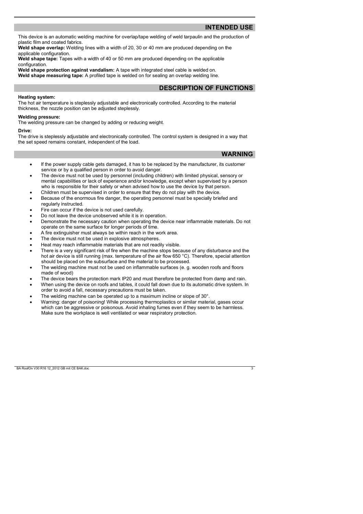#### **INTENDED USE**

This device is an automatic welding machine for overlap/tape welding of weld tarpaulin and the production of plastic film and coated fabrics.

**Weld shape overlap:** Welding lines with a width of 20, 30 or 40 mm are produced depending on the applicable configuration.

**Weld shape tape:** Tapes with a width of 40 or 50 mm are produced depending on the applicable configuration.

**Weld shape protection against vandalism:** A tape with integrated steel cable is welded on. **Weld shape measuring tape:** A profiled tape is welded on for sealing an overlap welding line.

#### **DESCRIPTION OF FUNCTIONS**

#### **Heating system:**

The hot air temperature is steplessly adjustable and electronically controlled. According to the material thickness, the nozzle position can be adjusted steplessly.

#### **Welding pressure:**

The welding pressure can be changed by adding or reducing weight.

#### **Drive:**

The drive is steplessly adjustable and electronically controlled. The control system is designed in a way that the set speed remains constant, independent of the load.

#### **WARNING**

- If the power supply cable gets damaged, it has to be replaced by the manufacturer, its customer service or by a qualified person in order to avoid danger.
- The device must not be used by personnel (including children) with limited physical, sensory or mental capabilities or lack of experience and/or knowledge, except when supervised by a person who is responsible for their safety or when advised how to use the device by that person.
- Children must be supervised in order to ensure that they do not play with the device.
- Because of the enormous fire danger, the operating personnel must be specially briefed and regularly instructed.
- Fire can occur if the device is not used carefully.
- Do not leave the device unobserved while it is in operation.
- Demonstrate the necessary caution when operating the device near inflammable materials. Do not operate on the same surface for longer periods of time.
- A fire extinguisher must always be within reach in the work area.
- The device must not be used in explosive atmospheres.
- Heat may reach inflammable materials that are not readily visible.
- There is a very significant risk of fire when the machine stops because of any disturbance and the hot air device is still running (max. temperature of the air flow 650 °C). Therefore, special attention should be placed on the subsurface and the material to be processed.
- The welding machine must not be used on inflammable surfaces (e. g. wooden roofs and floors made of wood)
- The device bears the protection mark IP20 and must therefore be protected from damp and rain.
- When using the device on roofs and tables, it could fall down due to its automatic drive system. In order to avoid a fall, necessary precautions must be taken.
- The welding machine can be operated up to a maximum incline or slope of 30°.
- Warning: danger of poisoning! While processing thermoplastics or similar material, gases occur which can be aggressive or poisonous. Avoid inhaling fumes even if they seem to be harmless. Make sure the workplace is well ventilated or wear respiratory protection.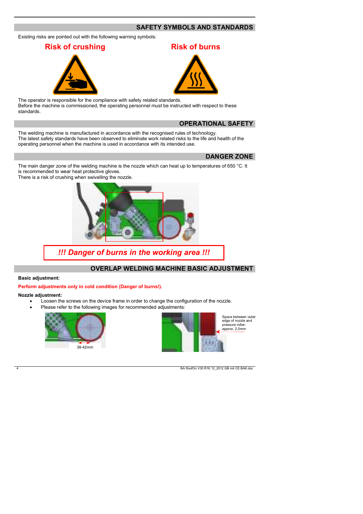#### **SAFETY SYMBOLS AND STANDARDS**

Existing risks are pointed out with the following warning symbols:

#### **Risk of crushing The Risk of burns**





The operator is responsible for the compliance with safety related standards. Before the machine is commissioned, the operating personnel must be instructed with respect to these standards.

#### **OPERATIONAL SAFETY**

The welding machine is manufactured in accordance with the recognised rules of technology. The latest safety standards have been observed to eliminate work related risks to the life and health of the operating personnel when the machine is used in accordance with its intended use.

#### **DANGER ZONE**

The main danger zone of the welding machine is the nozzle which can heat up to temperatures of 650 °C. It is recommended to wear heat protective gloves. There is a risk of crushing when swivelling the nozzle.



## *!!! Danger of burns in the working area !!!*

#### **OVERLAP WELDING MACHINE BASIC ADJUSTMENT**

#### **Basic adjustment:**

**Perform adjustments only in cold condition (Danger of burns!).** 

#### **Nozzle adjustment:**

- Loosen the screws on the device frame in order to change the configuration of the nozzle.
- Please refer to the following images for recommended adjustments:



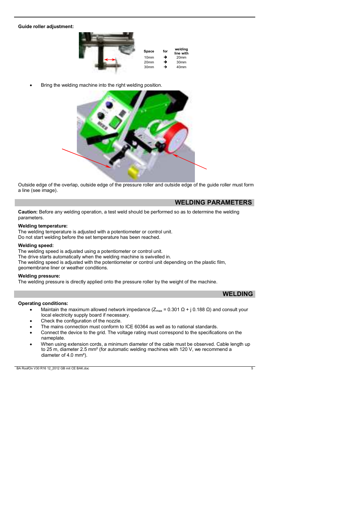#### **Guide roller adjustment:**



Bring the welding machine into the right welding position.



Outside edge of the overlap, outside edge of the pressure roller and outside edge of the guide roller must form a line (see image).

#### **WELDING PARAMETERS**

**Caution:** Before any welding operation, a test weld should be performed so as to determine the welding parameters.

#### **Welding temperature:**

The welding temperature is adjusted with a potentiometer or control unit. Do not start welding before the set temperature has been reached.

#### **Welding speed:**

The welding speed is adjusted using a potentiometer or control unit. The drive starts automatically when the welding machine is swivelled in. The welding speed is adjusted with the potentiometer or control unit depending on the plastic film, geomembrane liner or weather conditions.

#### **Welding pressure:**

The welding pressure is directly applied onto the pressure roller by the weight of the machine.

#### **WELDING**

#### **Operating conditions:**

- Maintain the maximum allowed network impedance ( $Z_{\text{max}}$  = 0.301  $\Omega$  + j 0.188  $\Omega$ ) and consult your local electricity supply board if necessary.
- Check the configuration of the nozzle.
- The mains connection must conform to ICE 60364 as well as to national standards.
- Connect the device to the grid. The voltage rating must correspond to the specifications on the nameplate.
- When using extension cords, a minimum diameter of the cable must be observed. Cable length up to 25 m, diameter 2.5 mm² (for automatic welding machines with 120 V, we recommend a diameter of 4.0 mm<sup>2</sup>).

BA RoofOn V30 R16 12\_2012 GB mit CE BAK.doc 5 5 5 5 5 5 6 7 8 8 9 7 8 7 8 9 7 8 9 7 8 9 7 8 9 7 8 9 7 8 9 7 8 9 7 8 9 7 8 9 7 8 9 7 8 9 7 8 9 7 8 9 7 8 9 7 8 9 7 8 9 7 8 9 7 8 9 7 8 9 7 8 9 7 8 9 7 8 9 7 8 9 7 8 9 7 8 9 7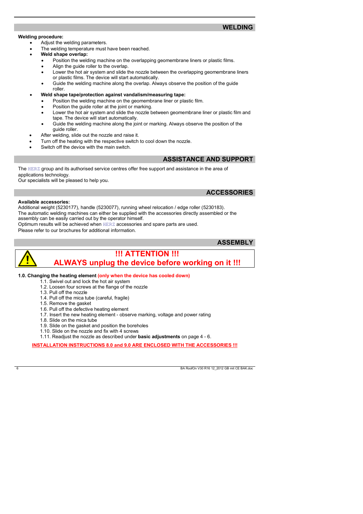#### **WELDING**

#### **Welding procedure:**

- Adjust the welding parameters.
- The welding temperature must have been reached.
- **Weld shape overlap:**
	- Position the welding machine on the overlapping geomembrane liners or plastic films.
	- Align the guide roller to the overlap.
	- Lower the hot air system and slide the nozzle between the overlapping geomembrane liners or plastic films. The device will start automatically.
	- Guide the welding machine along the overlap. Always observe the position of the guide
	- roller. • **Weld shape tape/protection against vandalism/measuring tape:**
		- Position the welding machine on the geomembrane liner or plastic film.
		- Position the quide roller at the joint or marking.
		- Lower the hot air system and slide the nozzle between geomembrane liner or plastic film and tape. The device will start automatically.
	- Guide the welding machine along the joint or marking. Always observe the position of the guide roller.
- After welding, slide out the nozzle and raise it.
- Turn off the heating with the respective switch to cool down the nozzle.
- Switch off the device with the main switch.

#### **ASSISTANCE AND SUPPORT**

The HERZ group and its authorised service centres offer free support and assistance in the area of applications technology.

Our specialists will be pleased to help you.

**ACCESSORIES**

#### **Available accessories:**

Additional weight (5230177), handle (5230077), running wheel relocation / edge roller (5230183). The automatic welding machines can either be supplied with the accessories directly assembled or the assembly can be easily carried out by the operator himself.

Optimum results will be achieved when HERZ accessories and spare parts are used.

Please refer to our brochures for additional information.

#### **ASSEMBLY**



### **!!! ATTENTION !!! ALWAYS unplug the device before working on it !!!**

- **1.0. Changing the heating element (only when the device has cooled down)**
	- 1.1. Swivel out and lock the hot air system 1.2. Loosen four screws at the flange of the nozzle
	-
	- 1.3. Pull off the nozzle
	- 1.4. Pull off the mica tube (careful, fragile)
	- 1.5. Remove the gasket
	- 1.6. Pull off the defective heating element
	- 1.7. Insert the new heating element observe marking, voltage and power rating
	- 1.8. Slide on the mica tube
	- 1.9. Slide on the gasket and position the boreholes
	- 1.10. Slide on the nozzle and fix with 4 screws
	- 1.11. Readjust the nozzle as described under **basic adjustments** on page 4 6.

**INSTALLATION INSTRUCTIONS 8.0 and 9.0 ARE ENCLOSED WITH THE ACCESSORIES !!!**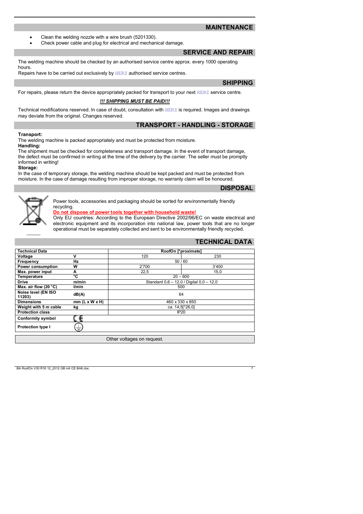#### **MAINTENANCE**

- Clean the welding nozzle with a wire brush (5201330).
- Check power cable and plug for electrical and mechanical damage.

#### **SERVICE AND REPAIR**

The welding machine should be checked by an authorised service centre approx. every 1000 operating hours.

Repairs have to be carried out exclusively by HERZ authorised service centres.

#### **SHIPPING**

For repairs, please return the device appropriately packed for transport to your next HERZ service centre.

#### *!!! SHIPPING MUST BE PAID!!!*

Technical modifications reserved. In case of doubt, consultation with HERZ is required. Images and drawings may deviate from the original. Changes reserved.

#### **TRANSPORT - HANDLING - STORAGE**

#### **Transport:**

The welding machine is packed appropriately and must be protected from moisture. **Handling:**

The shipment must be checked for completeness and transport damage. In the event of transport damage, the defect must be confirmed in writing at the time of the delivery by the carrier. The seller must be promptly informed in writing!

#### **Storage:**

In the case of temporary storage, the welding machine should be kept packed and must be protected from moisture. In the case of damage resulting from improper storage, no warranty claim will be honoured.

#### **DISPOSAL**



Power tools, accessories and packaging should be sorted for environmentally friendly recycling.

#### **Do not dispose of power tools together with household waste!**

Only EU countries: According to the European Directive 2002/96/EC on waste electrical and electronic equipment and its incorporation into national law, power tools that are no longer operational must be separately collected and sent to be environmentally friendly recycled.

| <b>Technical Data</b>         |                           | RoofOn [*proximate]                      |       |  |
|-------------------------------|---------------------------|------------------------------------------|-------|--|
| Voltage                       | v                         | 120                                      | 230   |  |
| Frequency                     | Hz                        | 50/60                                    |       |  |
| Power consumption             | W                         | 2'700                                    | 3'400 |  |
| Max. power input              | A                         | 22.5                                     | 15,0  |  |
| Temperature                   | ۰c                        | $20 - 600$                               |       |  |
| <b>Drive</b>                  | m/min                     | Standard 0,6 - 12,0 / Digital 0,0 - 12,0 |       |  |
| Max. air flow (20 °C)         | l/min                     | 500                                      |       |  |
| Noise level (EN ISO<br>11203) | dB(A)                     | 64                                       |       |  |
| <b>Dimensions</b>             | $mm(L \times W \times H)$ | 460 x 330 x 850                          |       |  |
| Weight with 5 m cable         | kg                        | ca. 14,5 <sup>*</sup> 26,0]              |       |  |
| <b>Protection class</b>       |                           | IP <sub>20</sub>                         |       |  |
| <b>Conformity symbol</b>      |                           |                                          |       |  |
| Protection type I             | ÷                         |                                          |       |  |
| Other voltages on request.    |                           |                                          |       |  |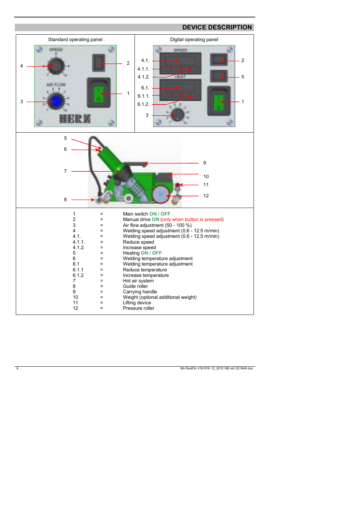

#### **DEVICE DESCRIPTION**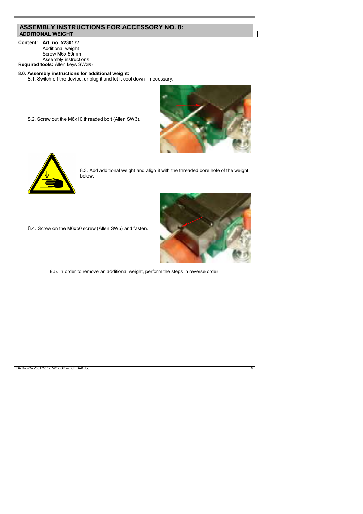## **ASSEMBLY INSTRUCTIONS FOR ACCESSORY NO. 8: ADDITIONAL WEIGHT**

**Content: Art. no. 5230177** 

Additional weight Screw M6x 50mm Assembly instructions **Required tools:** Allen keys SW3/5

#### **8.0. Assembly instructions for additional weight:**

8.1. Switch off the device, unplug it and let it cool down if necessary.







8.3. Add additional weight and align it with the threaded bore hole of the weight below.

8.4. Screw on the M6x50 screw (Allen SW5) and fasten.



8.5. In order to remove an additional weight, perform the steps in reverse order.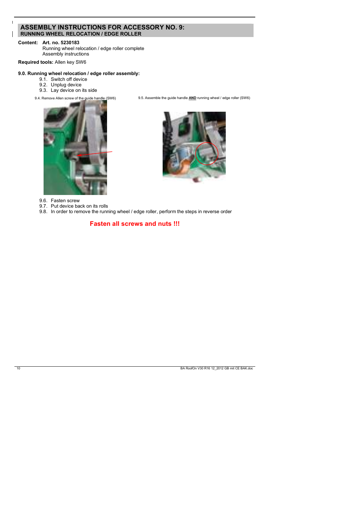## **ASSEMBLY INSTRUCTIONS FOR ACCESSORY NO. 9: RUNNING WHEEL RELOCATION / EDGE ROLLER**

 $\overline{1}$ 

**Content: Art. no. 5230183** Running wheel relocation / edge roller complete Assembly instructions

**Required tools:** Allen key SW6

# **9.0. Running wheel relocation / edge roller assembly:**<br>9.1. Switch off device<br>9.2. Unplug device<br>9.3. Lay device on its side

- 
- 
- 
- 

9.4. Remove Allen screw of the guide handle (SW6) 9.5. Assemble the guide handle **AND** running wheel / edge roller (SW6)





- 9.6. Fasten screw
- 
- 9.7. Put device back on its rolls 9.8. In order to remove the running wheel / edge roller, perform the steps in reverse order

**Fasten all screws and nuts !!!**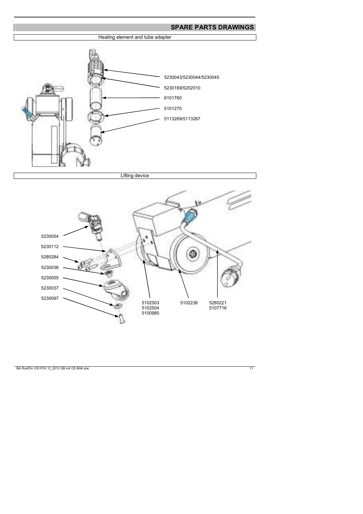#### **SPARE PARTS DRAWINGS**